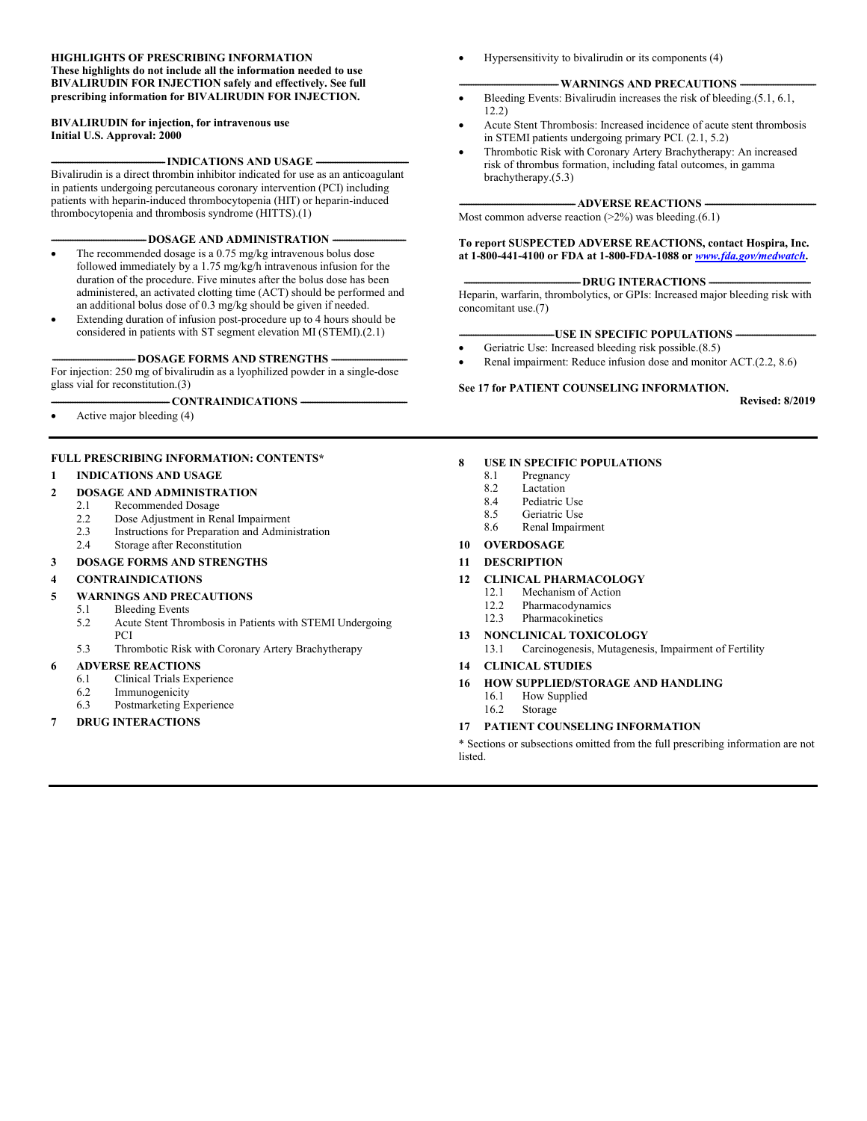#### **HIGHLIGHTS OF PRESCRIBING INFORMATION These highlights do not include all the information needed to use BIVALIRUDIN FOR INJECTION safely and effectively. See full prescribing information for BIVALIRUDIN FOR INJECTION.**

#### **BIVALIRUDIN for injection, for intravenous use Initial U.S. Approval: 2000**

-**INDICATIONS AND USAGE -**

Bivalirudin is a direct thrombin inhibitor indicated for use as an anticoagulant in patients undergoing percutaneous coronary intervention (PCI) including patients with heparin-induced thrombocytopenia (HIT) or heparin-induced thrombocytopenia and thrombosis syndrome (HITTS).(1)

#### **-DOSAGE AND ADMINISTRATION**

- The recommended dosage is a 0.75 mg/kg intravenous bolus dose followed immediately by a 1.75 mg/kg/h intravenous infusion for the duration of the procedure. Five minutes after the bolus dose has been administered, an activated clotting time (ACT) should be performed and an additional bolus dose of 0.3 mg/kg should be given if needed.
- Extending duration of infusion post-procedure up to 4 hours should be considered in patients with ST segment elevation MI (STEMI).(2.1)

#### -DOSAGE FORMS AND STRENGTHS -

For injection: 250 mg of bivalirudin as a lyophilized powder in a single-dose glass vial for reconstitution.(3)

 $-CONTRAINDICATIONS -$ 

Active major bleeding (4)

#### **FULL PRESCRIBING INFORMATION: CONTENTS\***

#### **1 INDICATIONS AND USAGE**

#### **2 DOSAGE AND ADMINISTRATION**

- 2.1 Recommended Dosage
- 2.2 Dose Adjustment in Renal Impairment<br>2.3 Instructions for Preparation and Admin
- Instructions for Preparation and Administration
- 2.4 Storage after Reconstitution

### **3 DOSAGE FORMS AND STRENGTHS**

#### **4 CONTRAINDICATIONS**

#### **5 WARNINGS AND PRECAUTIONS**

- 5.1 Bleeding Events
- 5.2 Acute Stent Thrombosis in Patients with STEMI Undergoing **PCI**
- 5.3 Thrombotic Risk with Coronary Artery Brachytherapy

#### **6 ADVERSE REACTIONS**

- 6.1 Clinical Trials Experience
- 6.2 Immunogenicity
- 6.3 Postmarketing Experience
- **7 DRUG INTERACTIONS**

Hypersensitivity to bivalirudin or its components (4)

#### **-WARNINGS AND PRECAUTIONS**

- Bleeding Events: Bivalirudin increases the risk of bleeding.(5.1, 6.1, 12.2)
- Acute Stent Thrombosis: Increased incidence of acute stent thrombosis in STEMI patients undergoing primary PCI. (2.1, 5.2)
- Thrombotic Risk with Coronary Artery Brachytherapy: An increased risk of thrombus formation, including fatal outcomes, in gamma brachytherapy.(5.3)

#### **ADVERSE REACTIONS -**

Most common adverse reaction  $(>2%)$  was bleeding.(6.1)

**To report SUSPECTED ADVERSE REACTIONS, contact Hospira, Inc. at 1-800-441-4100 or FDA at 1-800-FDA-1088 or** *[www.fda.gov/medwatch](http://www.fda.gov/medwatch)***.**

#### -DRUG INTERACTIONS -

Heparin, warfarin, thrombolytics, or GPIs: Increased major bleeding risk with concomitant use.(7)

#### **-USE IN SPECIFIC POPULATIONS**

- Geriatric Use: Increased bleeding risk possible.(8.5)
- Renal impairment: Reduce infusion dose and monitor ACT.(2.2, 8.6)

#### **See 17 for PATIENT COUNSELING INFORMATION.**

**Revised: 8/2019**

#### **8 USE IN SPECIFIC POPULATIONS**

- 8.1 Pregnancy
- 8.2 Lactation
- 8.4 Pediatric Use
- 8.5 Geriatric Use<br>8.6 Renal Impair
- Renal Impairment

#### **10 OVERDOSAGE**

- **11 DESCRIPTION**
- **12 CLINICAL PHARMACOLOGY**
	- 12.1 Mechanism of Action
		- 12.2 Pharmacodynamics
		- 12.3 Pharmacokinetics

#### **13 NONCLINICAL TOXICOLOGY**

13.1 Carcinogenesis, Mutagenesis, Impairment of Fertility

#### **14 CLINICAL STUDIES**

- **16 HOW SUPPLIED/STORAGE AND HANDLING**
	- 16.1 How Supplied
	- 16.2 Storage

#### **17 PATIENT COUNSELING INFORMATION**

\* Sections or subsections omitted from the full prescribing information are not listed.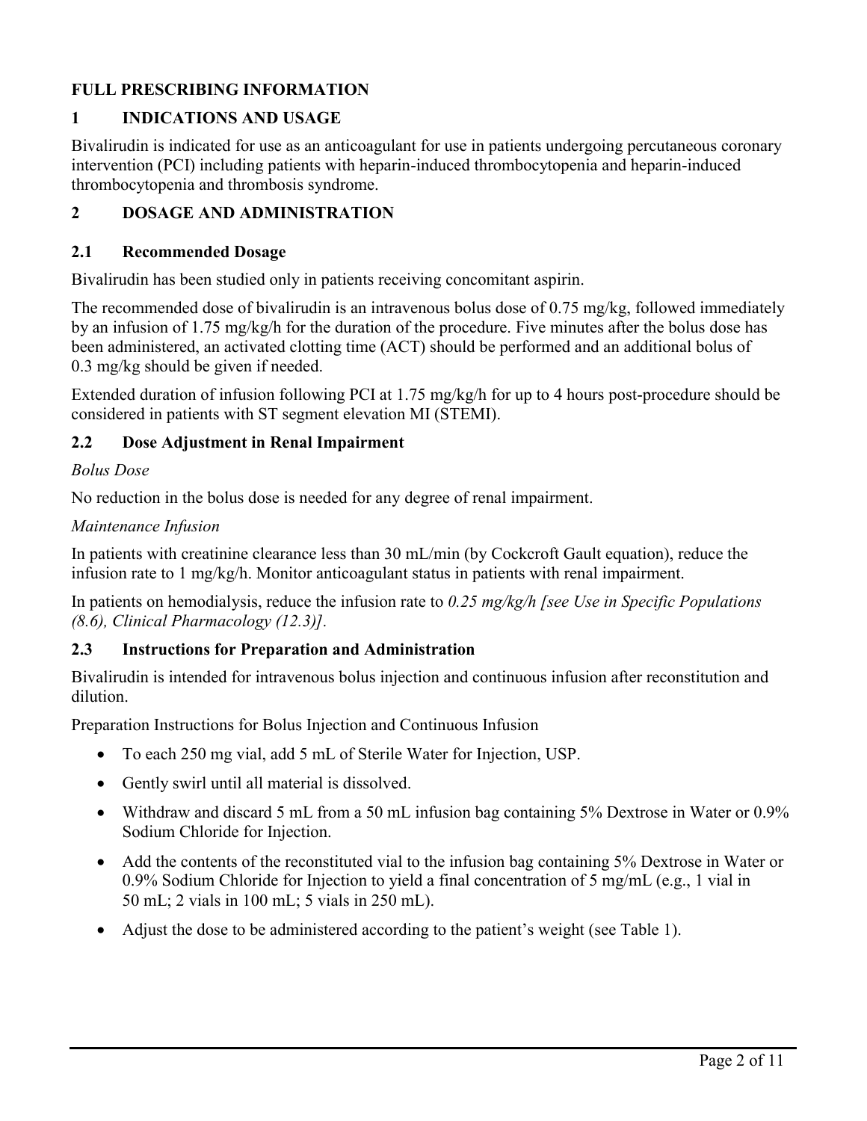# **FULL PRESCRIBING INFORMATION**

# **1 INDICATIONS AND USAGE**

Bivalirudin is indicated for use as an anticoagulant for use in patients undergoing percutaneous coronary intervention (PCI) including patients with heparin-induced thrombocytopenia and heparin-induced thrombocytopenia and thrombosis syndrome.

# **2 DOSAGE AND ADMINISTRATION**

### **2.1 Recommended Dosage**

Bivalirudin has been studied only in patients receiving concomitant aspirin.

The recommended dose of bivalirudin is an intravenous bolus dose of 0.75 mg/kg, followed immediately by an infusion of 1.75 mg/kg/h for the duration of the procedure. Five minutes after the bolus dose has been administered, an activated clotting time (ACT) should be performed and an additional bolus of 0.3 mg/kg should be given if needed.

Extended duration of infusion following PCI at 1.75 mg/kg/h for up to 4 hours post-procedure should be considered in patients with ST segment elevation MI (STEMI).

# **2.2 Dose Adjustment in Renal Impairment**

### *Bolus Dose*

No reduction in the bolus dose is needed for any degree of renal impairment.

### *Maintenance Infusion*

In patients with creatinine clearance less than 30 mL/min (by Cockcroft Gault equation), reduce the infusion rate to 1 mg/kg/h. Monitor anticoagulant status in patients with renal impairment.

In patients on hemodialysis, reduce the infusion rate to *0.25 mg/kg/h [see Use in Specific Populations (8.6), Clinical Pharmacology (12.3)].*

# **2.3 Instructions for Preparation and Administration**

Bivalirudin is intended for intravenous bolus injection and continuous infusion after reconstitution and dilution.

Preparation Instructions for Bolus Injection and Continuous Infusion

- To each 250 mg vial, add 5 mL of Sterile Water for Injection, USP.
- Gently swirl until all material is dissolved.
- Withdraw and discard 5 mL from a 50 mL infusion bag containing 5% Dextrose in Water or 0.9% Sodium Chloride for Injection.
- Add the contents of the reconstituted vial to the infusion bag containing 5% Dextrose in Water or 0.9% Sodium Chloride for Injection to yield a final concentration of 5 mg/mL (e.g., 1 vial in 50 mL; 2 vials in 100 mL; 5 vials in 250 mL).
- Adjust the dose to be administered according to the patient's weight (see Table 1).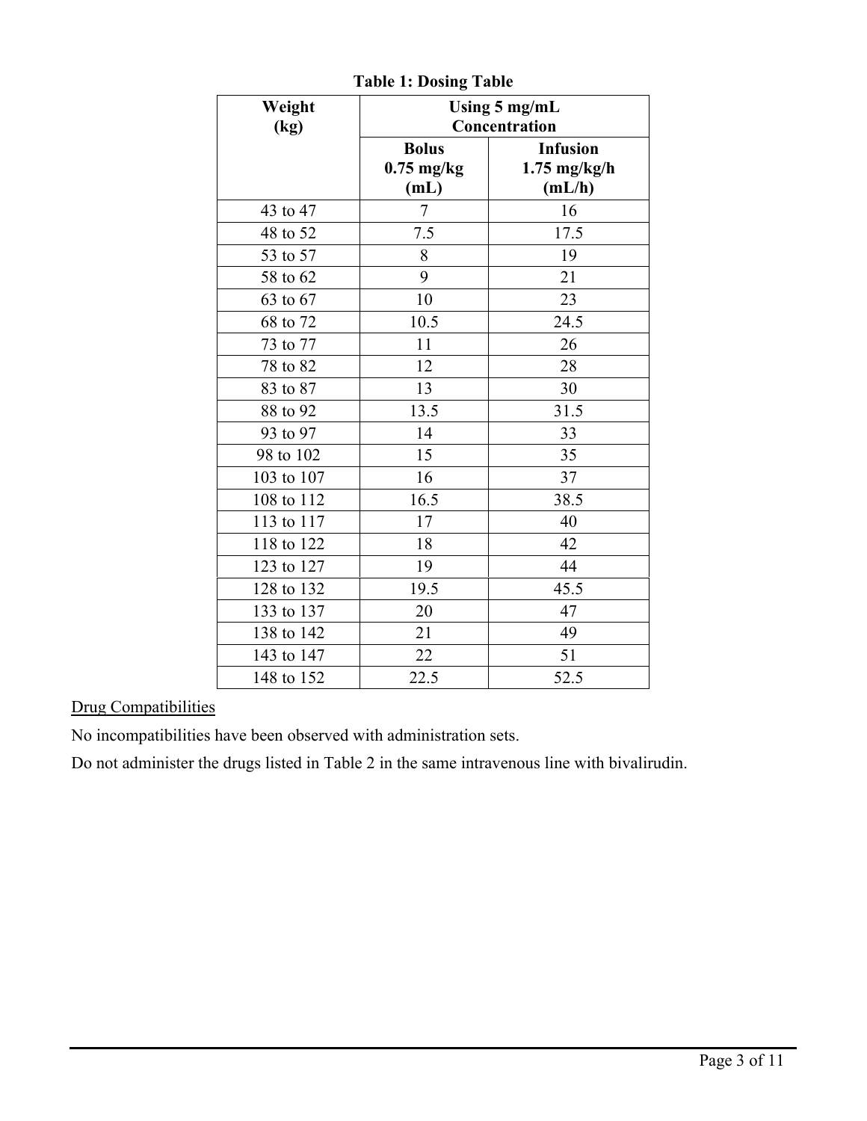| Weight<br>(kg) | Using 5 mg/mL<br>Concentration       |                                             |
|----------------|--------------------------------------|---------------------------------------------|
|                | <b>Bolus</b><br>$0.75$ mg/kg<br>(mL) | <b>Infusion</b><br>$1.75$ mg/kg/h<br>(mL/h) |
| 43 to 47       | 7                                    | 16                                          |
| 48 to 52       | 7.5                                  | 17.5                                        |
| 53 to 57       | 8                                    | 19                                          |
| 58 to 62       | 9                                    | 21                                          |
| 63 to 67       | 10                                   | 23                                          |
| 68 to 72       | 10.5                                 | 24.5                                        |
| 73 to 77       | 11                                   | 26                                          |
| 78 to 82       | 12                                   | 28                                          |
| 83 to 87       | 13                                   | 30                                          |
| 88 to 92       | 13.5                                 | 31.5                                        |
| 93 to 97       | 14                                   | 33                                          |
| 98 to 102      | 15                                   | 35                                          |
| 103 to 107     | 16                                   | 37                                          |
| 108 to 112     | 16.5                                 | 38.5                                        |
| 113 to 117     | 17                                   | 40                                          |
| 118 to 122     | 18                                   | 42                                          |
| 123 to 127     | 19                                   | 44                                          |
| 128 to 132     | 19.5                                 | 45.5                                        |
| 133 to 137     | 20                                   | 47                                          |
| 138 to 142     | 21                                   | 49                                          |
| 143 to 147     | 22                                   | 51                                          |
| 148 to 152     | 22.5                                 | 52.5                                        |

**Table 1: Dosing Table**

# Drug Compatibilities

No incompatibilities have been observed with administration sets.

Do not administer the drugs listed in Table 2 in the same intravenous line with bivalirudin.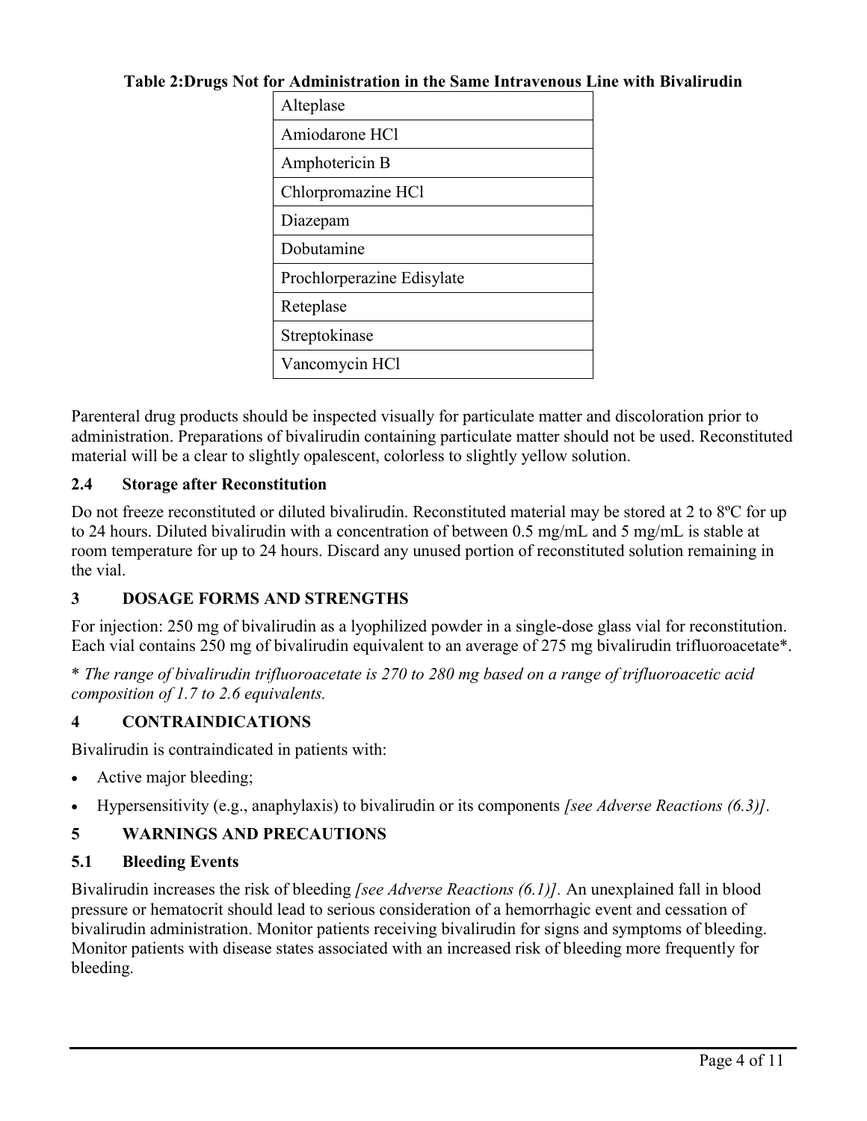### **Table 2:Drugs Not for Administration in the Same Intravenous Line with Bivalirudin**

| Alteplase                  |  |
|----------------------------|--|
| Amiodarone HCl             |  |
| Amphotericin B             |  |
| Chlorpromazine HCl         |  |
| Diazepam                   |  |
| Dobutamine                 |  |
| Prochlorperazine Edisylate |  |
| Reteplase                  |  |
| Streptokinase              |  |
| Vancomycin HCl             |  |

Parenteral drug products should be inspected visually for particulate matter and discoloration prior to administration. Preparations of bivalirudin containing particulate matter should not be used. Reconstituted material will be a clear to slightly opalescent, colorless to slightly yellow solution.

# **2.4 Storage after Reconstitution**

Do not freeze reconstituted or diluted bivalirudin. Reconstituted material may be stored at 2 to 8<sup>o</sup>C for up to 24 hours. Diluted bivalirudin with a concentration of between 0.5 mg/mL and 5 mg/mL is stable at room temperature for up to 24 hours. Discard any unused portion of reconstituted solution remaining in the vial.

# **3 DOSAGE FORMS AND STRENGTHS**

For injection: 250 mg of bivalirudin as a lyophilized powder in a single-dose glass vial for reconstitution. Each vial contains 250 mg of bivalirudin equivalent to an average of 275 mg bivalirudin trifluoroacetate\*.

\* *The range of bivalirudin trifluoroacetate is 270 to 280 mg based on a range of trifluoroacetic acid composition of 1.7 to 2.6 equivalents.*

# **4 CONTRAINDICATIONS**

Bivalirudin is contraindicated in patients with:

- Active major bleeding;
- Hypersensitivity (e.g., anaphylaxis) to bivalirudin or its components *[see Adverse Reactions (6.3)].*

# **5 WARNINGS AND PRECAUTIONS**

# **5.1 Bleeding Events**

Bivalirudin increases the risk of bleeding *[see Adverse Reactions (6.1)].* An unexplained fall in blood pressure or hematocrit should lead to serious consideration of a hemorrhagic event and cessation of bivalirudin administration. Monitor patients receiving bivalirudin for signs and symptoms of bleeding. Monitor patients with disease states associated with an increased risk of bleeding more frequently for bleeding.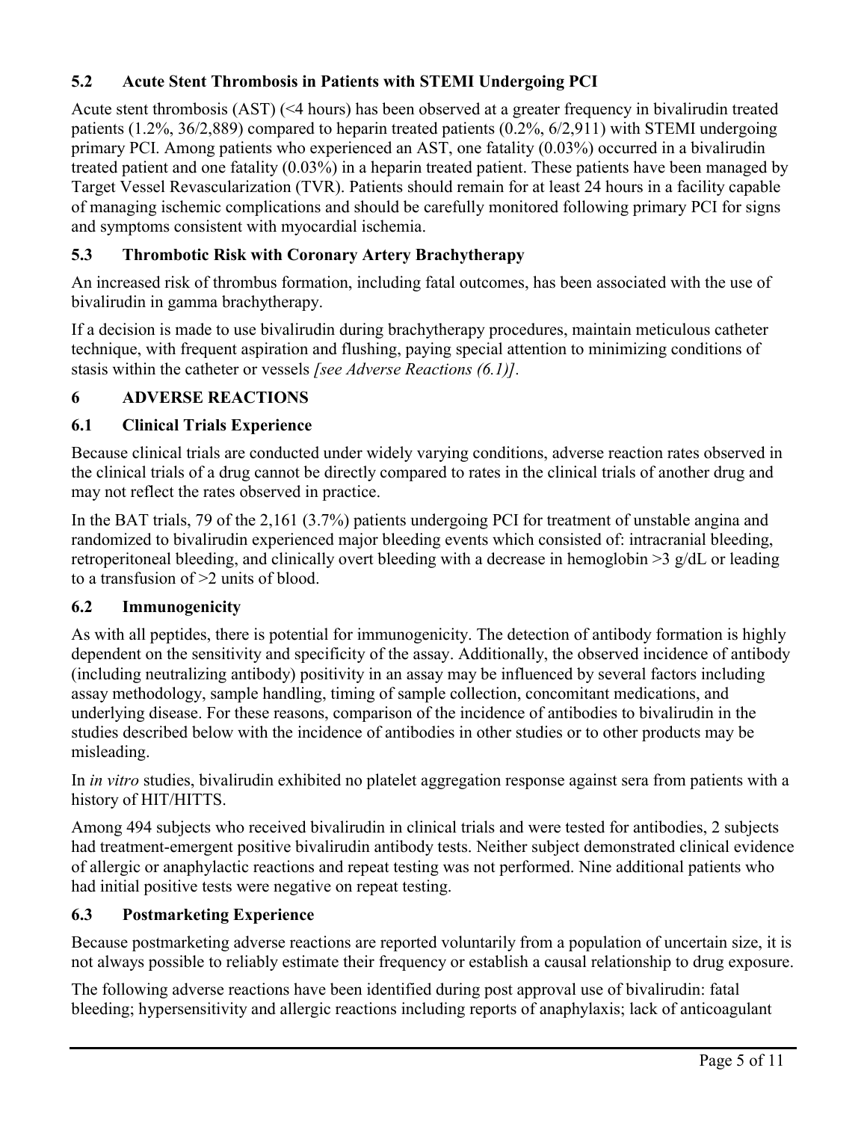# **5.2 Acute Stent Thrombosis in Patients with STEMI Undergoing PCI**

Acute stent thrombosis (AST) (<4 hours) has been observed at a greater frequency in bivalirudin treated patients (1.2%, 36/2,889) compared to heparin treated patients (0.2%, 6/2,911) with STEMI undergoing primary PCI. Among patients who experienced an AST, one fatality (0.03%) occurred in a bivalirudin treated patient and one fatality (0.03%) in a heparin treated patient. These patients have been managed by Target Vessel Revascularization (TVR). Patients should remain for at least 24 hours in a facility capable of managing ischemic complications and should be carefully monitored following primary PCI for signs and symptoms consistent with myocardial ischemia.

# **5.3 Thrombotic Risk with Coronary Artery Brachytherapy**

An increased risk of thrombus formation, including fatal outcomes, has been associated with the use of bivalirudin in gamma brachytherapy.

If a decision is made to use bivalirudin during brachytherapy procedures, maintain meticulous catheter technique, with frequent aspiration and flushing, paying special attention to minimizing conditions of stasis within the catheter or vessels *[see Adverse Reactions (6.1)].*

# **6 ADVERSE REACTIONS**

# **6.1 Clinical Trials Experience**

Because clinical trials are conducted under widely varying conditions, adverse reaction rates observed in the clinical trials of a drug cannot be directly compared to rates in the clinical trials of another drug and may not reflect the rates observed in practice.

In the BAT trials, 79 of the 2,161 (3.7%) patients undergoing PCI for treatment of unstable angina and randomized to bivalirudin experienced major bleeding events which consisted of: intracranial bleeding, retroperitoneal bleeding, and clinically overt bleeding with a decrease in hemoglobin >3 g/dL or leading to a transfusion of >2 units of blood.

# **6.2 Immunogenicity**

As with all peptides, there is potential for immunogenicity. The detection of antibody formation is highly dependent on the sensitivity and specificity of the assay. Additionally, the observed incidence of antibody (including neutralizing antibody) positivity in an assay may be influenced by several factors including assay methodology, sample handling, timing of sample collection, concomitant medications, and underlying disease. For these reasons, comparison of the incidence of antibodies to bivalirudin in the studies described below with the incidence of antibodies in other studies or to other products may be misleading.

In *in vitro* studies, bivalirudin exhibited no platelet aggregation response against sera from patients with a history of HIT/HITTS.

Among 494 subjects who received bivalirudin in clinical trials and were tested for antibodies, 2 subjects had treatment-emergent positive bivalirudin antibody tests. Neither subject demonstrated clinical evidence of allergic or anaphylactic reactions and repeat testing was not performed. Nine additional patients who had initial positive tests were negative on repeat testing.

# **6.3 Postmarketing Experience**

Because postmarketing adverse reactions are reported voluntarily from a population of uncertain size, it is not always possible to reliably estimate their frequency or establish a causal relationship to drug exposure.

The following adverse reactions have been identified during post approval use of bivalirudin: fatal bleeding; hypersensitivity and allergic reactions including reports of anaphylaxis; lack of anticoagulant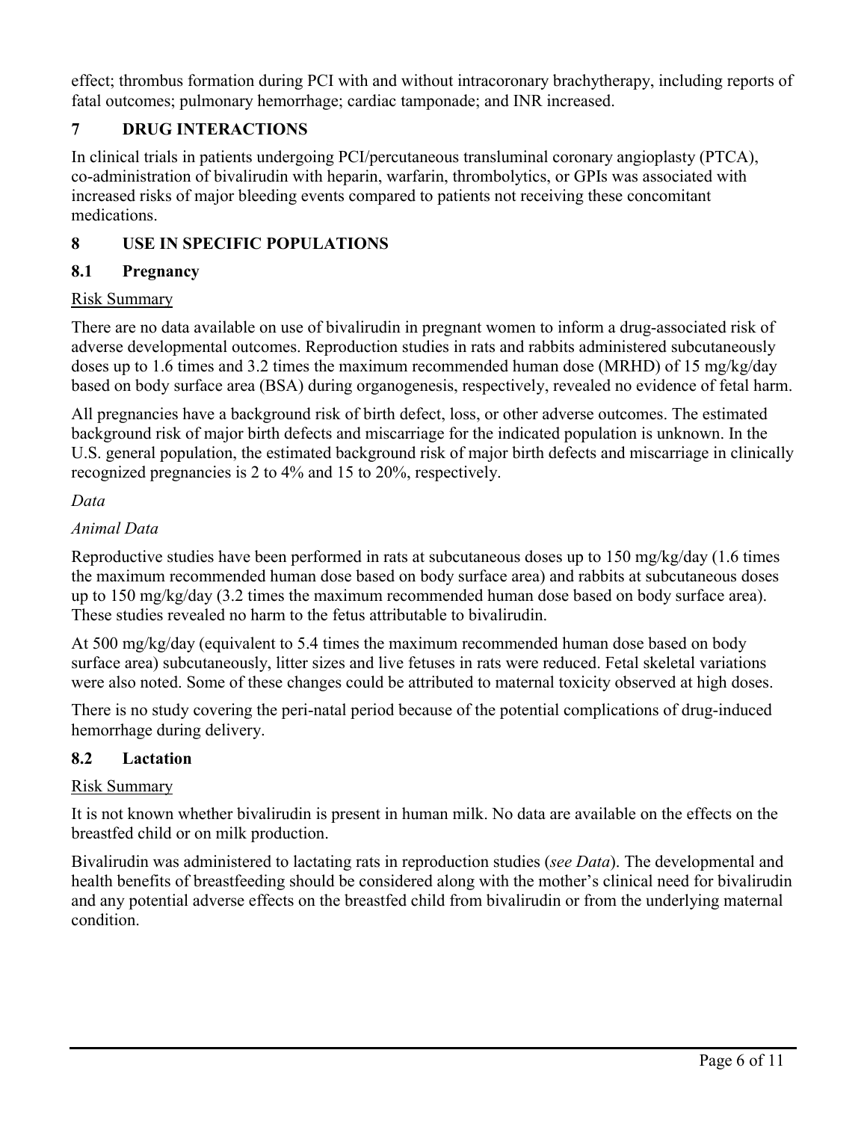effect; thrombus formation during PCI with and without intracoronary brachytherapy, including reports of fatal outcomes; pulmonary hemorrhage; cardiac tamponade; and INR increased.

# **7 DRUG INTERACTIONS**

In clinical trials in patients undergoing PCI/percutaneous transluminal coronary angioplasty (PTCA), co-administration of bivalirudin with heparin, warfarin, thrombolytics, or GPIs was associated with increased risks of major bleeding events compared to patients not receiving these concomitant medications.

# **8 USE IN SPECIFIC POPULATIONS**

# **8.1 Pregnancy**

# Risk Summary

There are no data available on use of bivalirudin in pregnant women to inform a drug-associated risk of adverse developmental outcomes. Reproduction studies in rats and rabbits administered subcutaneously doses up to 1.6 times and 3.2 times the maximum recommended human dose (MRHD) of 15 mg/kg/day based on body surface area (BSA) during organogenesis, respectively, revealed no evidence of fetal harm.

All pregnancies have a background risk of birth defect, loss, or other adverse outcomes. The estimated background risk of major birth defects and miscarriage for the indicated population is unknown. In the U.S. general population, the estimated background risk of major birth defects and miscarriage in clinically recognized pregnancies is 2 to 4% and 15 to 20%, respectively.

# *Data*

# *Animal Data*

Reproductive studies have been performed in rats at subcutaneous doses up to 150 mg/kg/day (1.6 times the maximum recommended human dose based on body surface area) and rabbits at subcutaneous doses up to 150 mg/kg/day (3.2 times the maximum recommended human dose based on body surface area). These studies revealed no harm to the fetus attributable to bivalirudin.

At 500 mg/kg/day (equivalent to 5.4 times the maximum recommended human dose based on body surface area) subcutaneously, litter sizes and live fetuses in rats were reduced. Fetal skeletal variations were also noted. Some of these changes could be attributed to maternal toxicity observed at high doses.

There is no study covering the peri-natal period because of the potential complications of drug-induced hemorrhage during delivery.

# **8.2 Lactation**

# Risk Summary

It is not known whether bivalirudin is present in human milk. No data are available on the effects on the breastfed child or on milk production.

Bivalirudin was administered to lactating rats in reproduction studies (*see Data*). The developmental and health benefits of breastfeeding should be considered along with the mother's clinical need for bivalirudin and any potential adverse effects on the breastfed child from bivalirudin or from the underlying maternal condition.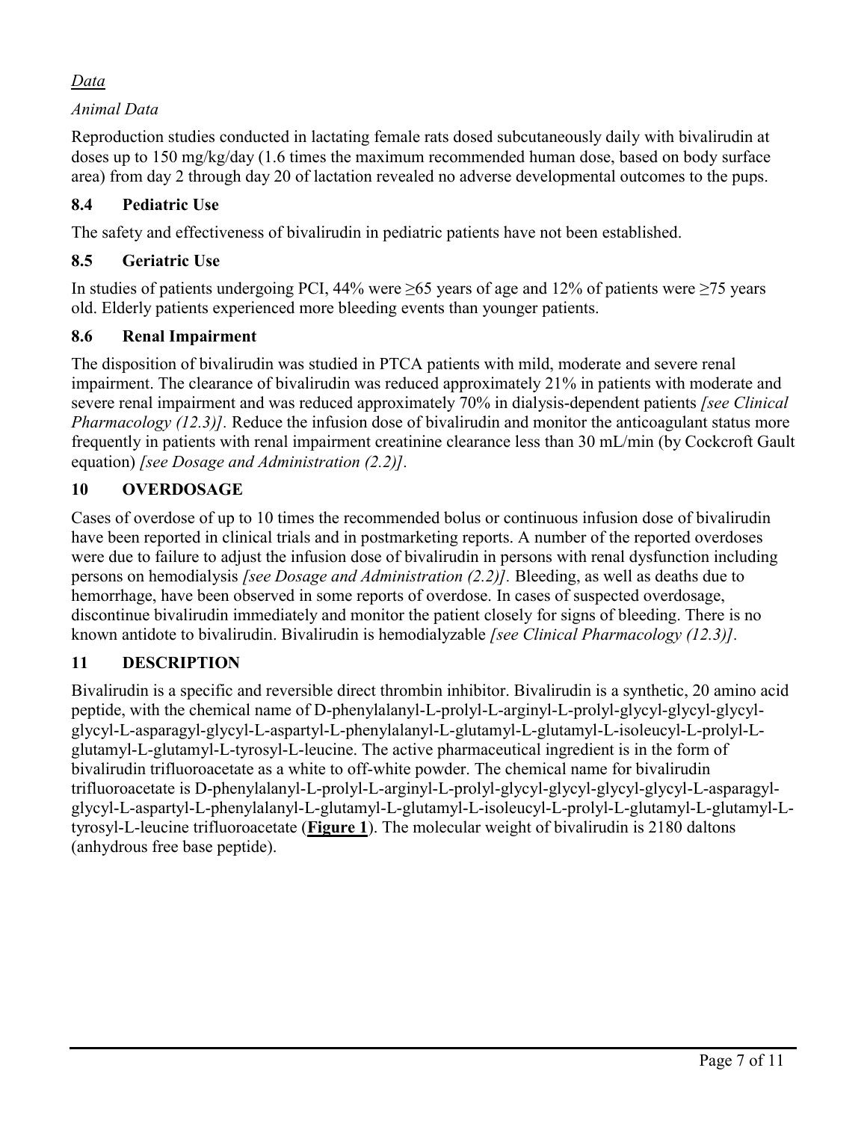# *Data*

*Animal Data*

Reproduction studies conducted in lactating female rats dosed subcutaneously daily with bivalirudin at doses up to 150 mg/kg/day (1.6 times the maximum recommended human dose, based on body surface area) from day 2 through day 20 of lactation revealed no adverse developmental outcomes to the pups.

# **8.4 Pediatric Use**

The safety and effectiveness of bivalirudin in pediatric patients have not been established.

# **8.5 Geriatric Use**

In studies of patients undergoing PCI, 44% were  $\geq$ 65 years of age and 12% of patients were  $\geq$ 75 years old. Elderly patients experienced more bleeding events than younger patients.

# **8.6 Renal Impairment**

The disposition of bivalirudin was studied in PTCA patients with mild, moderate and severe renal impairment. The clearance of bivalirudin was reduced approximately 21% in patients with moderate and severe renal impairment and was reduced approximately 70% in dialysis-dependent patients *[see Clinical Pharmacology* (12.3)]. Reduce the infusion dose of bivalirudin and monitor the anticoagulant status more frequently in patients with renal impairment creatinine clearance less than 30 mL/min (by Cockcroft Gault equation) *[see Dosage and Administration (2.2)].*

# **10 OVERDOSAGE**

Cases of overdose of up to 10 times the recommended bolus or continuous infusion dose of bivalirudin have been reported in clinical trials and in postmarketing reports. A number of the reported overdoses were due to failure to adjust the infusion dose of bivalirudin in persons with renal dysfunction including persons on hemodialysis *[see Dosage and Administration (2.2)].* Bleeding, as well as deaths due to hemorrhage, have been observed in some reports of overdose. In cases of suspected overdosage, discontinue bivalirudin immediately and monitor the patient closely for signs of bleeding. There is no known antidote to bivalirudin. Bivalirudin is hemodialyzable *[see Clinical Pharmacology (12.3)].*

# **11 DESCRIPTION**

Bivalirudin is a specific and reversible direct thrombin inhibitor. Bivalirudin is a synthetic, 20 amino acid peptide, with the chemical name of D-phenylalanyl-L-prolyl-L-arginyl-L-prolyl-glycyl-glycyl-glycylglycyl-L-asparagyl-glycyl-L-aspartyl-L-phenylalanyl-L-glutamyl-L-glutamyl-L-isoleucyl-L-prolyl-Lglutamyl-L-glutamyl-L-tyrosyl-L-leucine. The active pharmaceutical ingredient is in the form of bivalirudin trifluoroacetate as a white to off-white powder. The chemical name for bivalirudin trifluoroacetate is D-phenylalanyl-L-prolyl-L-arginyl-L-prolyl-glycyl-glycyl-glycyl-glycyl-L-asparagylglycyl-L-aspartyl-L-phenylalanyl-L-glutamyl-L-glutamyl-L-isoleucyl-L-prolyl-L-glutamyl-L-glutamyl-Ltyrosyl-L-leucine trifluoroacetate (**Figure 1**). The molecular weight of bivalirudin is 2180 daltons (anhydrous free base peptide).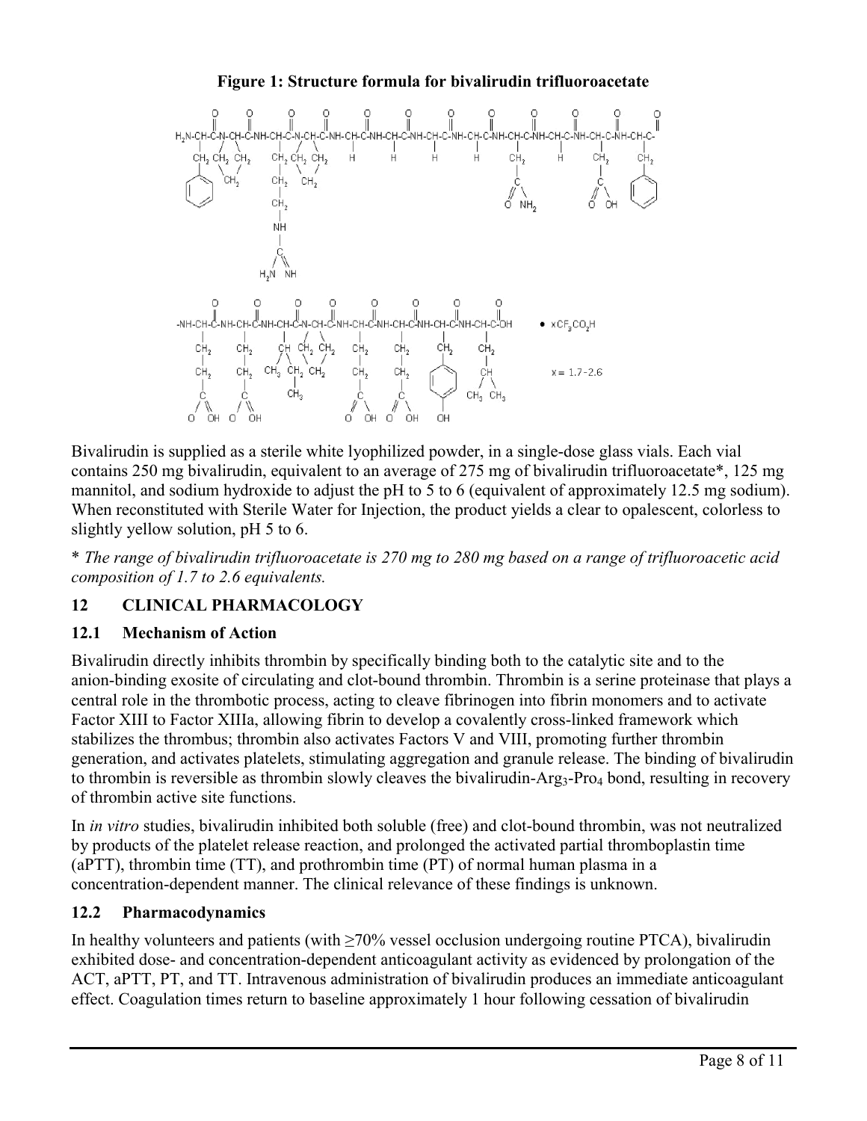

Bivalirudin is supplied as a sterile white lyophilized powder, in a single-dose glass vials. Each vial contains 250 mg bivalirudin, equivalent to an average of 275 mg of bivalirudin trifluoroacetate\*, 125 mg mannitol, and sodium hydroxide to adjust the pH to 5 to 6 (equivalent of approximately 12.5 mg sodium). When reconstituted with Sterile Water for Injection, the product yields a clear to opalescent, colorless to slightly yellow solution, pH 5 to 6.

\* *The range of bivalirudin trifluoroacetate is 270 mg to 280 mg based on a range of trifluoroacetic acid composition of 1.7 to 2.6 equivalents.*

# **12 CLINICAL PHARMACOLOGY**

### **12.1 Mechanism of Action**

Bivalirudin directly inhibits thrombin by specifically binding both to the catalytic site and to the anion-binding exosite of circulating and clot-bound thrombin. Thrombin is a serine proteinase that plays a central role in the thrombotic process, acting to cleave fibrinogen into fibrin monomers and to activate Factor XIII to Factor XIIIa, allowing fibrin to develop a covalently cross-linked framework which stabilizes the thrombus; thrombin also activates Factors V and VIII, promoting further thrombin generation, and activates platelets, stimulating aggregation and granule release. The binding of bivalirudin to thrombin is reversible as thrombin slowly cleaves the bivalirudin- $Arg_3$ -Pro<sub>4</sub> bond, resulting in recovery of thrombin active site functions.

In *in vitro* studies, bivalirudin inhibited both soluble (free) and clot-bound thrombin, was not neutralized by products of the platelet release reaction, and prolonged the activated partial thromboplastin time (aPTT), thrombin time (TT), and prothrombin time (PT) of normal human plasma in a concentration-dependent manner. The clinical relevance of these findings is unknown.

### **12.2 Pharmacodynamics**

In healthy volunteers and patients (with  $\geq$ 70% vessel occlusion undergoing routine PTCA), bivalirudin exhibited dose- and concentration-dependent anticoagulant activity as evidenced by prolongation of the ACT, aPTT, PT, and TT. Intravenous administration of bivalirudin produces an immediate anticoagulant effect. Coagulation times return to baseline approximately 1 hour following cessation of bivalirudin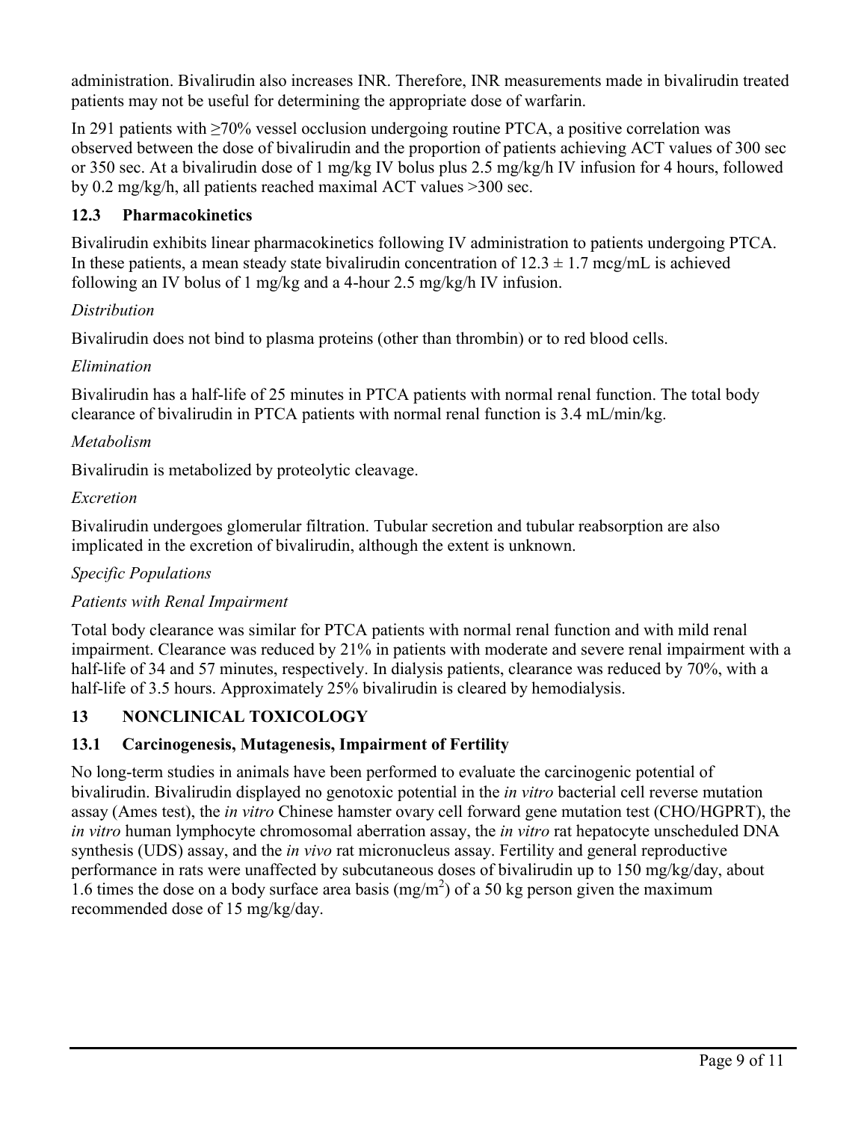administration. Bivalirudin also increases INR. Therefore, INR measurements made in bivalirudin treated patients may not be useful for determining the appropriate dose of warfarin.

In 291 patients with ≥70% vessel occlusion undergoing routine PTCA, a positive correlation was observed between the dose of bivalirudin and the proportion of patients achieving ACT values of 300 sec or 350 sec. At a bivalirudin dose of 1 mg/kg IV bolus plus 2.5 mg/kg/h IV infusion for 4 hours, followed by 0.2 mg/kg/h, all patients reached maximal ACT values >300 sec.

# **12.3 Pharmacokinetics**

Bivalirudin exhibits linear pharmacokinetics following IV administration to patients undergoing PTCA. In these patients, a mean steady state bivalirudin concentration of  $12.3 \pm 1.7$  mcg/mL is achieved following an IV bolus of 1 mg/kg and a 4-hour 2.5 mg/kg/h IV infusion.

# *Distribution*

Bivalirudin does not bind to plasma proteins (other than thrombin) or to red blood cells.

### *Elimination*

Bivalirudin has a half-life of 25 minutes in PTCA patients with normal renal function. The total body clearance of bivalirudin in PTCA patients with normal renal function is 3.4 mL/min/kg.

### *Metabolism*

Bivalirudin is metabolized by proteolytic cleavage.

### *Excretion*

Bivalirudin undergoes glomerular filtration. Tubular secretion and tubular reabsorption are also implicated in the excretion of bivalirudin, although the extent is unknown.

# *Specific Populations*

# *Patients with Renal Impairment*

Total body clearance was similar for PTCA patients with normal renal function and with mild renal impairment. Clearance was reduced by 21% in patients with moderate and severe renal impairment with a half-life of 34 and 57 minutes, respectively. In dialysis patients, clearance was reduced by 70%, with a half-life of 3.5 hours. Approximately 25% bivalirudin is cleared by hemodialysis.

# **13 NONCLINICAL TOXICOLOGY**

# **13.1 Carcinogenesis, Mutagenesis, Impairment of Fertility**

No long-term studies in animals have been performed to evaluate the carcinogenic potential of bivalirudin. Bivalirudin displayed no genotoxic potential in the *in vitro* bacterial cell reverse mutation assay (Ames test), the *in vitro* Chinese hamster ovary cell forward gene mutation test (CHO/HGPRT), the *in vitro* human lymphocyte chromosomal aberration assay, the *in vitro* rat hepatocyte unscheduled DNA synthesis (UDS) assay, and the *in vivo* rat micronucleus assay. Fertility and general reproductive performance in rats were unaffected by subcutaneous doses of bivalirudin up to 150 mg/kg/day, about 1.6 times the dose on a body surface area basis  $(mg/m<sup>2</sup>)$  of a 50 kg person given the maximum recommended dose of 15 mg/kg/day.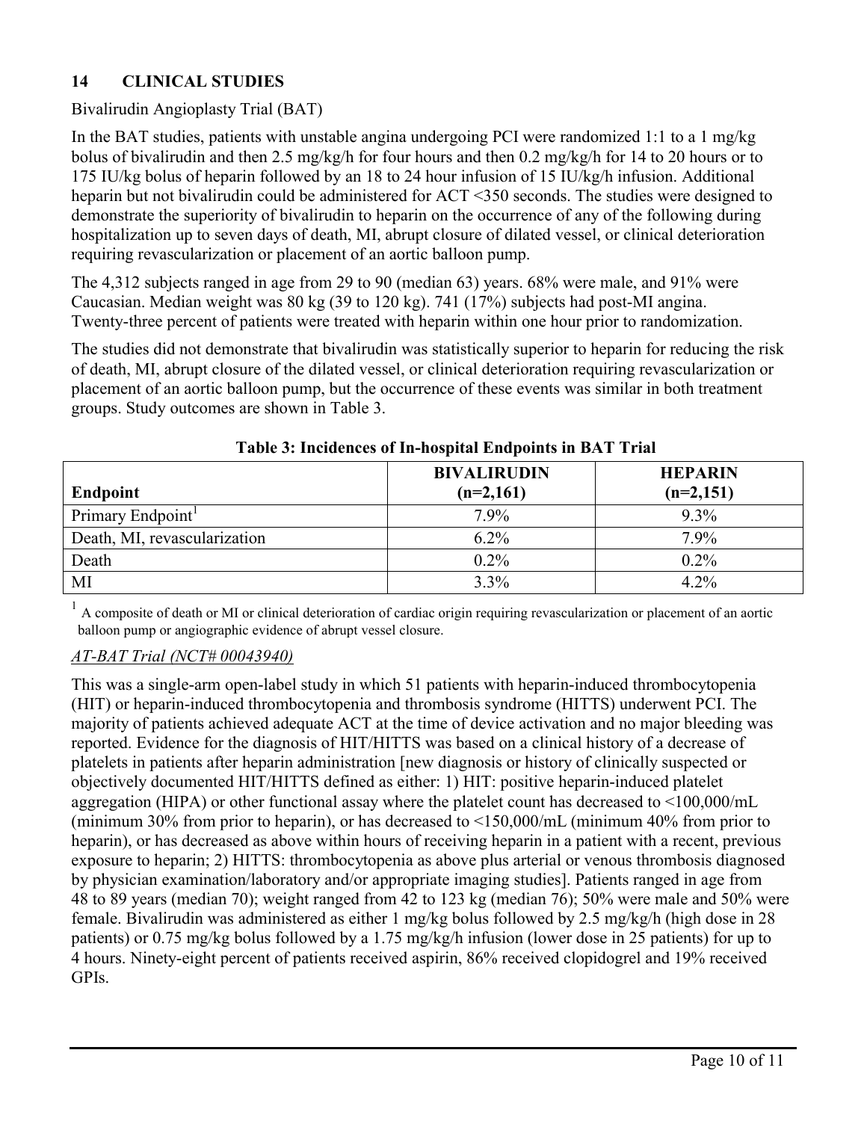# **14 CLINICAL STUDIES**

# Bivalirudin Angioplasty Trial (BAT)

In the BAT studies, patients with unstable angina undergoing PCI were randomized 1:1 to a 1 mg/kg bolus of bivalirudin and then 2.5 mg/kg/h for four hours and then 0.2 mg/kg/h for 14 to 20 hours or to 175 IU/kg bolus of heparin followed by an 18 to 24 hour infusion of 15 IU/kg/h infusion. Additional heparin but not bivalirudin could be administered for ACT <350 seconds. The studies were designed to demonstrate the superiority of bivalirudin to heparin on the occurrence of any of the following during hospitalization up to seven days of death, MI, abrupt closure of dilated vessel, or clinical deterioration requiring revascularization or placement of an aortic balloon pump.

The 4,312 subjects ranged in age from 29 to 90 (median 63) years. 68% were male, and 91% were Caucasian. Median weight was 80 kg (39 to 120 kg). 741 (17%) subjects had post-MI angina. Twenty-three percent of patients were treated with heparin within one hour prior to randomization.

The studies did not demonstrate that bivalirudin was statistically superior to heparin for reducing the risk of death, MI, abrupt closure of the dilated vessel, or clinical deterioration requiring revascularization or placement of an aortic balloon pump, but the occurrence of these events was similar in both treatment groups. Study outcomes are shown in Table 3.

|                              | <b>BIVALIRUDIN</b> | <b>HEPARIN</b> |
|------------------------------|--------------------|----------------|
| Endpoint                     | $(n=2,161)$        | $(n=2,151)$    |
| Primary Endpoint             | $7.9\%$            | $9.3\%$        |
| Death, MI, revascularization | $6.2\%$            | 7.9%           |
| Death                        | $0.2\%$            | $0.2\%$        |
| MI                           | 3.3%               | 4.2%           |

### **Table 3: Incidences of In-hospital Endpoints in BAT Trial**

 $<sup>1</sup>$  A composite of death or MI or clinical deterioration of cardiac origin requiring revascularization or placement of an aortic</sup> balloon pump or angiographic evidence of abrupt vessel closure.

### *AT-BAT Trial (NCT# 00043940)*

This was a single-arm open-label study in which 51 patients with heparin-induced thrombocytopenia (HIT) or heparin-induced thrombocytopenia and thrombosis syndrome (HITTS) underwent PCI. The majority of patients achieved adequate ACT at the time of device activation and no major bleeding was reported. Evidence for the diagnosis of HIT/HITTS was based on a clinical history of a decrease of platelets in patients after heparin administration [new diagnosis or history of clinically suspected or objectively documented HIT/HITTS defined as either: 1) HIT: positive heparin-induced platelet aggregation (HIPA) or other functional assay where the platelet count has decreased to <100,000/mL (minimum 30% from prior to heparin), or has decreased to <150,000/mL (minimum 40% from prior to heparin), or has decreased as above within hours of receiving heparin in a patient with a recent, previous exposure to heparin; 2) HITTS: thrombocytopenia as above plus arterial or venous thrombosis diagnosed by physician examination/laboratory and/or appropriate imaging studies]. Patients ranged in age from 48 to 89 years (median 70); weight ranged from 42 to 123 kg (median 76); 50% were male and 50% were female. Bivalirudin was administered as either 1 mg/kg bolus followed by 2.5 mg/kg/h (high dose in 28 patients) or 0.75 mg/kg bolus followed by a 1.75 mg/kg/h infusion (lower dose in 25 patients) for up to 4 hours. Ninety-eight percent of patients received aspirin, 86% received clopidogrel and 19% received GPIs.